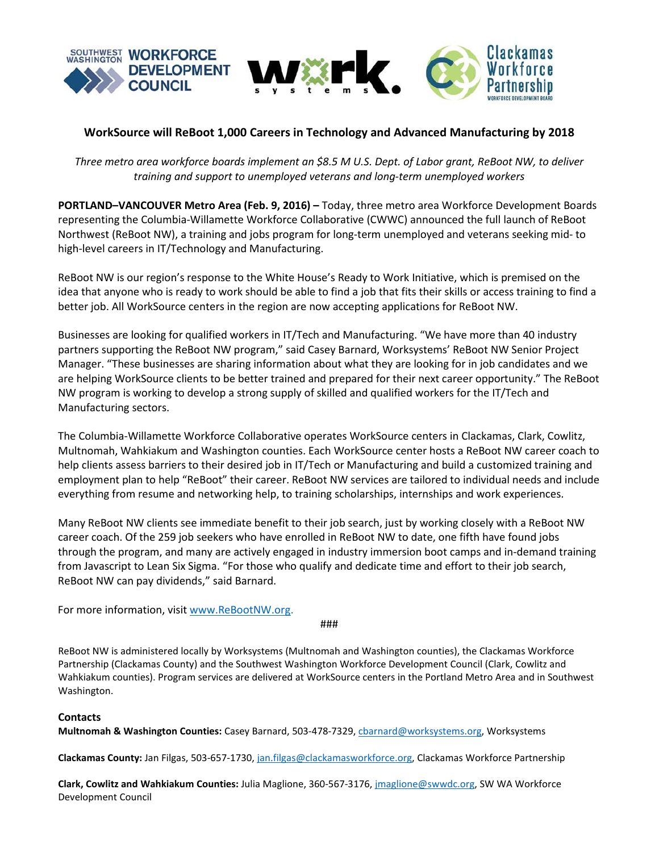

# **WorkSource will ReBoot 1,000 Careers in Technology and Advanced Manufacturing by 2018**

*Three metro area workforce boards implement an \$8.5 M U.S. Dept. of Labor grant, ReBoot NW, to deliver training and support to unemployed veterans and long-term unemployed workers*

**PORTLAND–VANCOUVER Metro Area (Feb. 9, 2016) –** Today, three metro area Workforce Development Boards representing the Columbia-Willamette Workforce Collaborative (CWWC) announced the full launch of ReBoot Northwest (ReBoot NW), a training and jobs program for long-term unemployed and veterans seeking mid- to high-level careers in IT/Technology and Manufacturing.

ReBoot NW is our region's response to the White House's Ready to Work Initiative, which is premised on the idea that anyone who is ready to work should be able to find a job that fits their skills or access training to find a better job. All WorkSource centers in the region are now accepting applications for ReBoot NW.

Businesses are looking for qualified workers in IT/Tech and Manufacturing. "We have more than 40 industry partners supporting the ReBoot NW program," said Casey Barnard, Worksystems' ReBoot NW Senior Project Manager. "These businesses are sharing information about what they are looking for in job candidates and we are helping WorkSource clients to be better trained and prepared for their next career opportunity." The ReBoot NW program is working to develop a strong supply of skilled and qualified workers for the IT/Tech and Manufacturing sectors.

The Columbia-Willamette Workforce Collaborative operates WorkSource centers in Clackamas, Clark, Cowlitz, Multnomah, Wahkiakum and Washington counties. Each WorkSource center hosts a ReBoot NW career coach to help clients assess barriers to their desired job in IT/Tech or Manufacturing and build a customized training and employment plan to help "ReBoot" their career. ReBoot NW services are tailored to individual needs and include everything from resume and networking help, to training scholarships, internships and work experiences.

Many ReBoot NW clients see immediate benefit to their job search, just by working closely with a ReBoot NW career coach. Of the 259 job seekers who have enrolled in ReBoot NW to date, one fifth have found jobs through the program, and many are actively engaged in industry immersion boot camps and in-demand training from Javascript to Lean Six Sigma. "For those who qualify and dedicate time and effort to their job search, ReBoot NW can pay dividends," said Barnard.

For more information, visit [www.ReBootNW.org.](http://www.rebootnw.org/)

###

ReBoot NW is administered locally by Worksystems (Multnomah and Washington counties), the Clackamas Workforce Partnership (Clackamas County) and the Southwest Washington Workforce Development Council (Clark, Cowlitz and Wahkiakum counties). Program services are delivered at WorkSource centers in the Portland Metro Area and in Southwest Washington.

## **Contacts**

**Multnomah & Washington Counties:** Casey Barnard, 503-478-7329, [cbarnard@worksystems.org,](mailto:cbarnard@worksystems.org) Worksystems

**Clackamas County:** Jan Filgas, 503-657-1730, [jan.filgas@clackamasworkforce.org,](mailto:jan.filgas@clackamasworkforce.org) Clackamas Workforce Partnership

**Clark, Cowlitz and Wahkiakum Counties:** Julia Maglione, 360-567-3176[, jmaglione@swwdc.org,](mailto:jmaglione@swwdc.org) SW WA Workforce Development Council